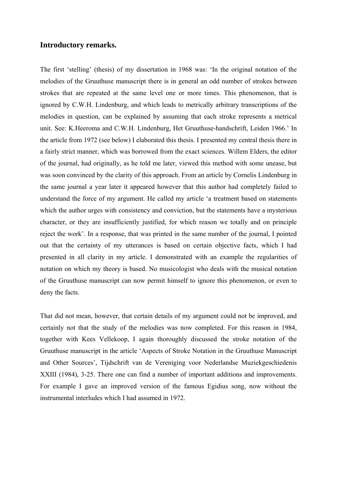# **Introductory remarks.**

The first 'stelling' (thesis) of my dissertation in 1968 was: 'In the original notation of the melodies of the Gruuthuse manuscript there is in general an odd number of strokes between strokes that are repeated at the same level one or more times. This phenomenon, that is ignored by C.W.H. Lindenburg, and which leads to metrically arbitrary transcriptions of the melodies in question, can be explained by assuming that each stroke represents a metrical unit. See: K.Heeroma and C.W.H. Lindenburg, Het Gruuthuse-handschrift, Leiden 1966.' In the article from 1972 (see below) I elaborated this thesis. I presented my central thesis there in a fairly strict manner, which was borrowed from the exact sciences. Willem Elders, the editor of the journal, had originally, as he told me later, viewed this method with some unease, but was soon convinced by the clarity of this approach. From an article by Cornelis Lindenburg in the same journal a year later it appeared however that this author had completely failed to understand the force of my argument. He called my article 'a treatment based on statements which the author urges with consistency and conviction, but the statements have a mysterious character, or they are insufficiently justified, for which reason we totally and on principle reject the work'. In a response, that was printed in the same number of the journal, I pointed out that the certainty of my utterances is based on certain objective facts, which I had presented in all clarity in my article. I demonstrated with an example the regularities of notation on which my theory is based. No musicologist who deals with the musical notation of the Gruuthuse manuscript can now permit himself to ignore this phenomenon, or even to deny the facts.

That did not mean, however, that certain details of my argument could not be improved, and certainly not that the study of the melodies was now completed. For this reason in 1984, together with Kees Vellekoop, I again thoroughly discussed the stroke notation of the Gruuthuse manuscript in the article 'Aspects of Stroke Notation in the Gruuthuse Manuscript and Other Sources', Tijdschrift van de Vereniging voor Nederlandse Muziekgeschiedenis XXIII (1984), 3-25. There one can find a number of important additions and improvements. For example I gave an improved version of the famous Egidius song, now without the instrumental interludes which I had assumed in 1972.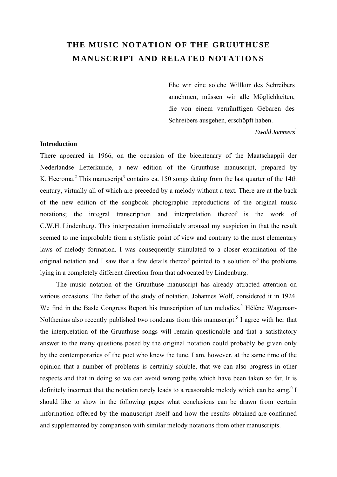# **THE MUSIC NOTATION OF THE GRUUTHUSE MANUSCRIPT AND RELATED NOTATIONS**

Ehe wir eine solche Willkür des Schreibers annehmen, müssen wir alle Möglichkeiten, die von einem vernünftigen Gebaren des Schreibers ausgehen, erschöpft haben.

*Ewald Jammers*<sup>1</sup>

# **Introduction**

There appeared in 1966, on the occasion of the bicentenary of the Maatschappij der Nederlandse Letterkunde, a new edition of the Gruuthuse manuscript, prepared by K. Heeroma.<sup>2</sup> This manuscript<sup>3</sup> contains ca. 150 songs dating from the last quarter of the 14th century, virtually all of which are preceded by a melody without a text. There are at the back of the new edition of the songbook photographic reproductions of the original music notations; the integral transcription and interpretation thereof is the work of C.W.H. Lindenburg. This interpretation immediately aroused my suspicion in that the result seemed to me improbable from a stylistic point of view and contrary to the most elementary laws of melody formation. I was consequently stimulated to a closer examination of the original notation and I saw that a few details thereof pointed to a solution of the problems lying in a completely different direction from that advocated by Lindenburg.

The music notation of the Gruuthuse manuscript has already attracted attention on various occasions. The father of the study of notation, Johannes Wolf, considered it in 1924. We find in the Basle Congress Report his transcription of ten melodies.<sup>4</sup> Hélène Wagenaar-Nolthenius also recently published two rondeaus from this manuscript.<sup>5</sup> I agree with her that the interpretation of the Gruuthuse songs will remain questionable and that a satisfactory answer to the many questions posed by the original notation could probably be given only by the contemporaries of the poet who knew the tune. I am, however, at the same time of the opinion that a number of problems is certainly soluble, that we can also progress in other respects and that in doing so we can avoid wrong paths which have been taken so far. It is definitely incorrect that the notation rarely leads to a reasonable melody which can be sung.<sup>6</sup> I should like to show in the following pages what conclusions can be drawn from certain information offered by the manuscript itself and how the results obtained are confirmed and supplemented by comparison with similar melody notations from other manuscripts.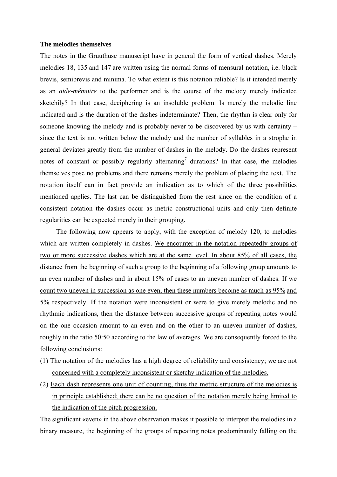### **The melodies themselves**

The notes in the Gruuthuse manuscript have in general the form of vertical dashes. Merely melodies 18, 135 and 147 are written using the normal forms of mensural notation, i.e. black brevis, semibrevis and minima. To what extent is this notation reliable? Is it intended merely as an *aide-mémoire* to the performer and is the course of the melody merely indicated sketchily? In that case, deciphering is an insoluble problem. Is merely the melodic line indicated and is the duration of the dashes indeterminate? Then, the rhythm is clear only for someone knowing the melody and is probably never to be discovered by us with certainty – since the text is not written below the melody and the number of syllables in a strophe in general deviates greatly from the number of dashes in the melody. Do the dashes represent notes of constant or possibly regularly alternating<sup>7</sup> durations? In that case, the melodies themselves pose no problems and there remains merely the problem of placing the text. The notation itself can in fact provide an indication as to which of the three possibilities mentioned applies. The last can be distinguished from the rest since on the condition of a consistent notation the dashes occur as metric constructional units and only then definite regularities can be expected merely in their grouping.

The following now appears to apply, with the exception of melody 120, to melodies which are written completely in dashes. We encounter in the notation repeatedly groups of two or more successive dashes which are at the same level. In about 85% of all cases, the distance from the beginning of such a group to the beginning of a following group amounts to an even number of dashes and in about 15% of cases to an uneven number of dashes. If we count two uneven in succession as one even, then these numbers become as much as 95% and 5% respectively. If the notation were inconsistent or were to give merely melodic and no rhythmic indications, then the distance between successive groups of repeating notes would on the one occasion amount to an even and on the other to an uneven number of dashes, roughly in the ratio 50:50 according to the law of averages. We are consequently forced to the following conclusions:

- (1) The notation of the melodies has a high degree of reliability and consistency; we are not concerned with a completely inconsistent or sketchy indication of the melodies.
- (2) Each dash represents one unit of counting, thus the metric structure of the melodies is in principle established; there can be no question of the notation merely being limited to the indication of the pitch progression.

The significant «even» in the above observation makes it possible to interpret the melodies in a binary measure, the beginning of the groups of repeating notes predominantly falling on the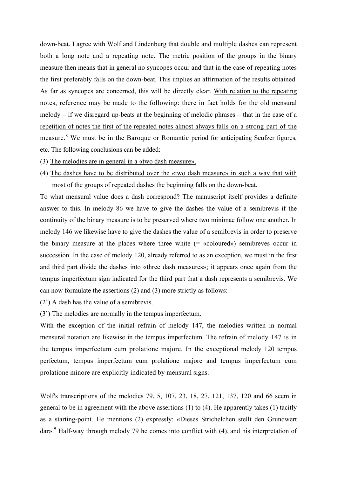down-beat. I agree with Wolf and Lindenburg that double and multiple dashes can represent both a long note and a repeating note. The metric position of the groups in the binary measure then means that in general no syncopes occur and that in the case of repeating notes the first preferably falls on the down-beat. This implies an affirmation of the results obtained. As far as syncopes are concerned, this will be directly clear. With relation to the repeating notes, reference may be made to the following: there in fact holds for the old mensural melody – if we disregard up-beats at the beginning of melodic phrases – that in the case of a repetition of notes the first of the repeated notes almost always falls on a strong part of the measure.<sup>8</sup> We must be in the Baroque or Romantic period for anticipating Seufzer figures, etc. The following conclusions can be added:

- (3) The melodies are in general in a «two dash measure».
- (4) The dashes have to be distributed over the «two dash measure» in such a way that with most of the groups of repeated dashes the beginning falls on the down-beat.

To what mensural value does a dash correspond? The manuscript itself provides a definite answer to this. In melody 86 we have to give the dashes the value of a semibrevis if the continuity of the binary measure is to be preserved where two minimae follow one another. In melody 146 we likewise have to give the dashes the value of a semibrevis in order to preserve the binary measure at the places where three white  $(=$  «coloured») semibreves occur in succession. In the case of melody 120, already referred to as an exception, we must in the first and third part divide the dashes into «three dash measures»; it appears once again from the tempus imperfectum sign indicated for the third part that a dash represents a semibrevis. We can now formulate the assertions (2) and (3) more strictly as follows:

- (2') A dash has the value of a semibrevis.
- (3') The melodies are normally in the tempus imperfectum.

With the exception of the initial refrain of melody 147, the melodies written in normal mensural notation are likewise in the tempus imperfectum. The refrain of melody 147 is in the tempus imperfectum cum prolatione majore. In the exceptional melody 120 tempus perfectum, tempus imperfectum cum prolatione majore and tempus imperfectum cum prolatione minore are explicitly indicated by mensural signs.

Wolf's transcriptions of the melodies 79, 5, 107, 23, 18, 27, 121, 137, 120 and 66 seem in general to be in agreement with the above assertions (1) to (4). He apparently takes (1) tacitly as a starting-point. He mentions (2) expressly: «Dieses Strichelchen stellt den Grundwert dar». <sup>9</sup> Half-way through melody 79 he comes into conflict with (4), and his interpretation of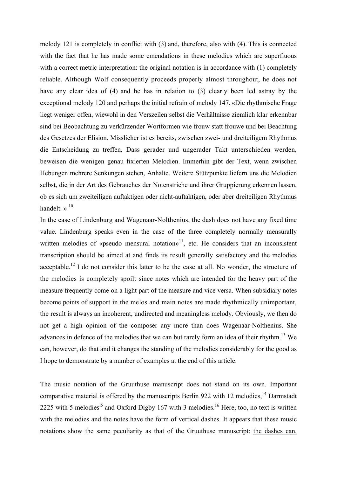melody 121 is completely in conflict with (3) and, therefore, also with (4). This is connected with the fact that he has made some emendations in these melodies which are superfluous with a correct metric interpretation: the original notation is in accordance with (1) completely reliable. Although Wolf consequently proceeds properly almost throughout, he does not have any clear idea of (4) and he has in relation to (3) clearly been led astray by the exceptional melody 120 and perhaps the initial refrain of melody 147. «Die rhythmische Frage liegt weniger offen, wiewohl in den Verszeilen selbst die Verhältnisse ziemlich klar erkennbar sind bei Beobachtung zu verkürzender Wortformen wie frouw statt frouwe und bei Beachtung des Gesetzes der Elision. Misslicher ist es bereits, zwischen zwei- und dreiteiligem Rhythmus die Entscheidung zu treffen. Dass gerader und ungerader Takt unterschieden werden, beweisen die wenigen genau fixierten Melodien. Immerhin gibt der Text, wenn zwischen Hebungen mehrere Senkungen stehen, Anhalte. Weitere Stützpunkte liefern uns die Melodien selbst, die in der Art des Gebrauches der Notenstriche und ihrer Gruppierung erkennen lassen, ob es sich um zweiteiligen auftaktigen oder nicht-auftaktigen, oder aber dreiteiligen Rhythmus handelt  $\gg$  <sup>10</sup>

In the case of Lindenburg and Wagenaar-Nolthenius, the dash does not have any fixed time value. Lindenburg speaks even in the case of the three completely normally mensurally written melodies of «pseudo mensural notation»<sup>11</sup>, etc. He considers that an inconsistent transcription should be aimed at and finds its result generally satisfactory and the melodies acceptable.<sup>12</sup> I do not consider this latter to be the case at all. No wonder, the structure of the melodies is completely spoilt since notes which are intended for the heavy part of the measure frequently come on a light part of the measure and vice versa. When subsidiary notes become points of support in the melos and main notes are made rhythmically unimportant, the result is always an incoherent, undirected and meaningless melody. Obviously, we then do not get a high opinion of the composer any more than does Wagenaar-Nolthenius. She advances in defence of the melodies that we can but rarely form an idea of their rhythm.<sup>13</sup> We can, however, do that and it changes the standing of the melodies considerably for the good as I hope to demonstrate by a number of examples at the end of this article.

The music notation of the Gruuthuse manuscript does not stand on its own. Important comparative material is offered by the manuscripts Berlin 922 with 12 melodies,<sup>14</sup> Darmstadt 2225 with 5 melodies<sup>15</sup> and Oxford Digby 167 with 3 melodies.<sup>16</sup> Here, too, no text is written with the melodies and the notes have the form of vertical dashes. It appears that these music notations show the same peculiarity as that of the Gruuthuse manuscript: the dashes can,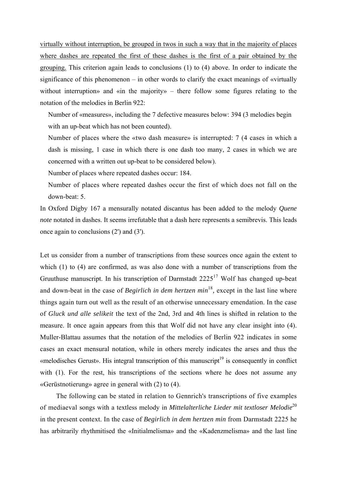virtually without interruption, be grouped in twos in such a way that in the majority of places where dashes are repeated the first of these dashes is the first of a pair obtained by the grouping. This criterion again leads to conclusions (1) to (4) above. In order to indicate the significance of this phenomenon – in other words to clarify the exact meanings of «virtually without interruption» and «in the majority» – there follow some figures relating to the notation of the melodies in Berlin 922:

Number of «measures», including the 7 defective measures below: 394 (3 melodies begin with an up-beat which has not been counted).

Number of places where the «two dash measure» is interrupted: 7 (4 cases in which a dash is missing, 1 case in which there is one dash too many, 2 cases in which we are concerned with a written out up-beat to be considered below).

Number of places where repeated dashes occur: 184.

Number of places where repeated dashes occur the first of which does not fall on the down-beat: 5.

In Oxford Digby 167 a mensurally notated discantus has been added to the melody *Quene note* notated in dashes. It seems irrefutable that a dash here represents a semibrevis. This leads once again to conclusions (2') and (3').

Let us consider from a number of transcriptions from these sources once again the extent to which (1) to (4) are confirmed, as was also done with a number of transcriptions from the Gruuthuse manuscript. In his transcription of Darmstadt  $2225<sup>17</sup>$  Wolf has changed up-beat and down-beat in the case of *Begirlich in dem hertzen min*<sup>18</sup>, except in the last line where things again turn out well as the result of an otherwise unnecessary emendation. In the case of *Gluck und alle selikeit* the text of the 2nd, 3rd and 4th lines is shifted in relation to the measure. It once again appears from this that Wolf did not have any clear insight into (4). Muller-Blattau assumes that the notation of the melodies of Berlin 922 indicates in some cases an exact mensural notation, while in others merely indicates the arses and thus the «melodisches Gerust». His integral transcription of this manuscript<sup>19</sup> is consequently in conflict with (1). For the rest, his transcriptions of the sections where he does not assume any «Gerüstnotierung» agree in general with (2) to (4).

The following can be stated in relation to Gennrich's transcriptions of five examples of mediaeval songs with a textless melody in *Mittelalterliche Lieder mit textloser Melodie*<sup>20</sup> in the present context. In the case of *Begirlich in dem hertzen min* from Darmstadt 2225 he has arbitrarily rhythmitised the «Initialmelisma» and the «Kadenzmelisma» and the last line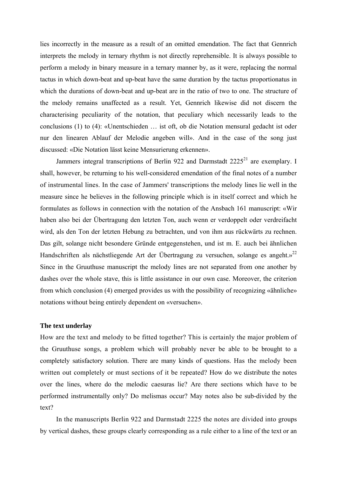lies incorrectly in the measure as a result of an omitted emendation. The fact that Gennrich interprets the melody in ternary rhythm is not directly reprehensible. It is always possible to perform a melody in binary measure in a ternary manner by, as it were, replacing the normal tactus in which down-beat and up-beat have the same duration by the tactus proportionatus in which the durations of down-beat and up-beat are in the ratio of two to one. The structure of the melody remains unaffected as a result. Yet, Gennrich likewise did not discern the characterising peculiarity of the notation, that peculiary which necessarily leads to the conclusions (1) to (4): «Unentschieden … ist oft, ob die Notation mensural gedacht ist oder nur den linearen Ablauf der Melodie angeben will». And in the case of the song just discussed: «Die Notation lässt keine Mensurierung erkennen».

Jammers integral transcriptions of Berlin 922 and Darmstadt 2225<sup>21</sup> are exemplary. I shall, however, be returning to his well-considered emendation of the final notes of a number of instrumental lines. In the case of Jammers' transcriptions the melody lines lie well in the measure since he believes in the following principle which is in itself correct and which he formulates as follows in connection with the notation of the Ansbach 161 manuscript: «Wir haben also bei der Übertragung den letzten Ton, auch wenn er verdoppelt oder verdreifacht wird, als den Ton der letzten Hebung zu betrachten, und von ihm aus rückwärts zu rechnen. Das gilt, solange nicht besondere Gründe entgegenstehen, und ist m. E. auch bei ähnlichen Handschriften als nächstliegende Art der Übertragung zu versuchen, solange es angeht.»<sup>22</sup> Since in the Gruuthuse manuscript the melody lines are not separated from one another by dashes over the whole stave, this is little assistance in our own case. Moreover, the criterion from which conclusion (4) emerged provides us with the possibility of recognizing «ähnliche» notations without being entirely dependent on «versuchen».

## **The text underlay**

How are the text and melody to be fitted together? This is certainly the major problem of the Gruuthuse songs, a problem which will probably never be able to be brought to a completely satisfactory solution. There are many kinds of questions. Has the melody been written out completely or must sections of it be repeated? How do we distribute the notes over the lines, where do the melodic caesuras lie? Are there sections which have to be performed instrumentally only? Do melismas occur? May notes also be sub-divided by the text?

In the manuscripts Berlin 922 and Darmstadt 2225 the notes are divided into groups by vertical dashes, these groups clearly corresponding as a rule either to a line of the text or an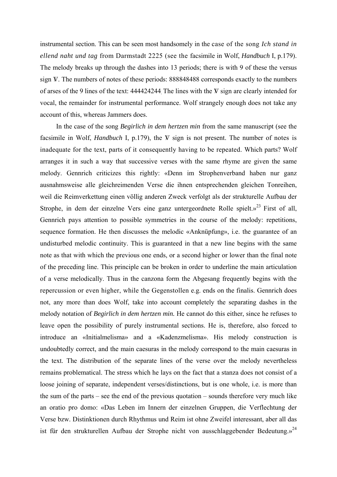instrumental section. This can be seen most handsomely in the case of the song *Ich stand in ellend naht und tag* from Darmstadt 2225 (see the facsimile in Wolf, *Handbuch* I, p.179). The melody breaks up through the dashes into 13 periods; there is with 9 of these the versus sign V. The numbers of notes of these periods: 888848488 corresponds exactly to the numbers of arses of the 9 lines of the text:  $444424244$ . The lines with the V sign are clearly intended for vocal, the remainder for instrumental performance. Wolf strangely enough does not take any account of this, whereas Jammers does.

In the case of the song *Begirlich in dem hertzen min* from the same manuscript (see the facsimile in Wolf, *Handbuch* I, p.179), the V sign is not present. The number of notes is inadequate for the text, parts of it consequently having to be repeated. Which parts? Wolf arranges it in such a way that successive verses with the same rhyme are given the same melody. Gennrich criticizes this rightly: «Denn im Strophenverband haben nur ganz ausnahmsweise alle gleichreimenden Verse die ihnen entsprechenden gleichen Tonreihen, weil die Reimverkettung einen völlig anderen Zweck verfolgt als der strukturelle Aufbau der Strophe, in dem der einzelne Vers eine ganz untergeordnete Rolle spielt.»<sup>23</sup> First of all, Gennrich pays attention to possible symmetries in the course of the melody: repetitions, sequence formation. He then discusses the melodic «Anknüpfung», i.e. the guarantee of an undisturbed melodic continuity. This is guaranteed in that a new line begins with the same note as that with which the previous one ends, or a second higher or lower than the final note of the preceding line. This principle can be broken in order to underline the main articulation of a verse melodically. Thus in the canzona form the Abgesang frequently begins with the repercussion or even higher, while the Gegenstollen e.g. ends on the finalis. Gennrich does not, any more than does Wolf, take into account completely the separating dashes in the melody notation of *Begirlich in dem hertzen min.* He cannot do this either, since he refuses to leave open the possibility of purely instrumental sections. He is, therefore, also forced to introduce an «Initialmelisma» and a «Kadenzmelisma». His melody construction is undoubtedly correct, and the main caesuras in the melody correspond to the main caesuras in the text. The distribution of the separate lines of the verse over the melody nevertheless remains problematical. The stress which he lays on the fact that a stanza does not consist of a loose joining of separate, independent verses/distinctions, but is one whole, i.e. is more than the sum of the parts – see the end of the previous quotation – sounds therefore very much like an oratio pro domo: «Das Leben im Innern der einzelnen Gruppen, die Verflechtung der Verse bzw. Distinktionen durch Rhythmus und Reim ist ohne Zweifel interessant, aber all das ist für den strukturellen Aufbau der Strophe nicht von ausschlaggebender Bedeutung.»<sup>24</sup>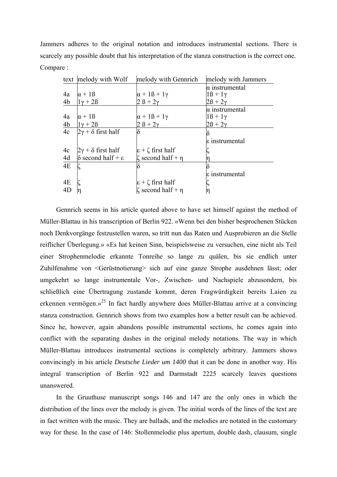Jammers adheres to the original notation and introduces instrumental sections. There is scarcely any possible doubt that his interpretation of the stanza construction is the correct one. Compare :

|                | text melody with Wolf             | melody with Gennrich            | melody with Jammers   |
|----------------|-----------------------------------|---------------------------------|-----------------------|
|                |                                   |                                 | $\alpha$ instrumental |
| 4a             | $\alpha + 1\beta$                 | $\alpha + 1\beta + 1\gamma$     | $1\beta + 1\gamma$    |
| 4b             | $1\gamma + 2\beta$                | $2B+2\gamma$                    | $2\beta + 2\gamma$    |
|                |                                   |                                 | α instrumental        |
| 4a             | $\alpha + 1\beta$                 | $\alpha + 1\beta + 1\gamma$     | $1\beta + 1\gamma$    |
| 4 <sub>b</sub> | $1\gamma + 2\beta$                | $2 \beta + 2\gamma$             | $2\beta + 2\gamma$    |
| 4c             | $2\gamma + \delta$ first half     |                                 |                       |
|                |                                   |                                 | ε instrumental        |
| 4c             | $2\gamma + \delta$ first half     | $\epsilon$ + $\zeta$ first half |                       |
| 4d             | $\delta$ second half + $\epsilon$ | $\zeta$ second half + $\eta$    |                       |
| 4E             |                                   |                                 |                       |
|                |                                   |                                 | ε instrumental        |
| 4E             |                                   | $\epsilon$ + $\zeta$ first half |                       |
| 4D             |                                   | $\zeta$ second half + $\eta$    |                       |

Gennrich seems in his article quoted above to have set himself against the method of Müller-Blattau in his transcription of Berlin 922. «Wenn bei den bisher besprochenen Stücken noch Denkvorgänge festzustellen waren, so tritt nun das Raten und Ausprobieren an die Stelle reiflicher Überlegung.» «Es hat keinen Sinn, beispielsweise zu versuchen, eine nicht als Teil einer Strophenmelodie erkannte Tonreihe so lange zu quälen, bis sie endlich unter Zuhilfenahme von <Gerüstnotierung> sich auf eine ganze Strophe ausdehnen lässt; oder umgekehrt so lange instrumentale Vor-, Zwischen- und Nachspiele abzusondern, bis schließlich eine Übertragung zustande kommt, deren Fragwürdigkeit bereits Laien zu erkennen vermögen.»25 In fact hardly anywhere does Müller-Blattau arrive at a convincing stanza construction. Gennrich shows from two examples how a better result can be achieved. Since he, however, again abandons possible instrumental sections, he comes again into conflict with the separating dashes in the original melody notations. The way in which Müller-Blattau introduces instrumental sections is completely arbitrary. Jammers shows convincingly in his article *Deutsche Lieder um 1400* that it can be done in another way. His integral transcription of Berlin 922 and Darmstadt 2225 scarcely leaves questions unanswered.

In the Gruuthuse manuscript songs 146 and 147 are the only ones in which the distribution of the lines over the melody is given. The initial words of the lines of the text are in fact written with the music. They are ballads, and the melodies are notated in the customary way for these. In the case of 146: Stollenmelodie plus apertum, double dash, clausum, single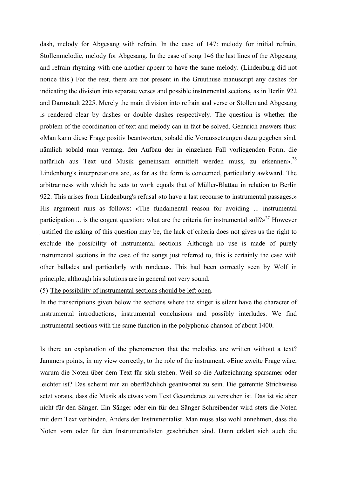dash, melody for Abgesang with refrain. In the case of 147: melody for initial refrain, Stollenmelodie, melody for Abgesang. In the case of song 146 the last lines of the Abgesang and refrain rhyming with one another appear to have the same melody. (Lindenburg did not notice this.) For the rest, there are not present in the Gruuthuse manuscript any dashes for indicating the division into separate verses and possible instrumental sections, as in Berlin 922 and Darmstadt 2225. Merely the main division into refrain and verse or Stollen and Abgesang is rendered clear by dashes or double dashes respectively. The question is whether the problem of the coordination of text and melody can in fact be solved. Gennrich answers thus: «Man kann diese Frage positiv beantworten, sobald die Voraussetzungen dazu gegeben sind, nämlich sobald man vermag, den Aufbau der in einzelnen Fall vorliegenden Form, die natürlich aus Text und Musik gemeinsam ermittelt werden muss, zu erkennen».<sup>26</sup> Lindenburg's interpretations are, as far as the form is concerned, particularly awkward. The arbitrariness with which he sets to work equals that of Müller-Blattau in relation to Berlin 922. This arises from Lindenburg's refusal «to have a last recourse to instrumental passages.» His argument runs as follows: «The fundamental reason for avoiding ... instrumental participation ... is the cogent question: what are the criteria for instrumental soli?»<sup>27</sup> However justified the asking of this question may be, the lack of criteria does not gives us the right to exclude the possibility of instrumental sections. Although no use is made of purely instrumental sections in the case of the songs just referred to, this is certainly the case with other ballades and particularly with rondeaus. This had been correctly seen by Wolf in principle, although his solutions are in general not very sound.

(5) The possibility of instrumental sections should be left open.

In the transcriptions given below the sections where the singer is silent have the character of instrumental introductions, instrumental conclusions and possibly interludes. We find instrumental sections with the same function in the polyphonic chanson of about 1400.

Is there an explanation of the phenomenon that the melodies are written without a text? Jammers points, in my view correctly, to the role of the instrument. «Eine zweite Frage wäre, warum die Noten über dem Text für sich stehen. Weil so die Aufzeichnung sparsamer oder leichter ist? Das scheint mir zu oberflächlich geantwortet zu sein. Die getrennte Strichweise setzt voraus, dass die Musik als etwas vom Text Gesondertes zu verstehen ist. Das ist sie aber nicht für den Sänger. Ein Sänger oder ein für den Sänger Schreibender wird stets die Noten mit dem Text verbinden. Anders der Instrumentalist. Man muss also wohl annehmen, dass die Noten vom oder für den Instrumentalisten geschrieben sind. Dann erklärt sich auch die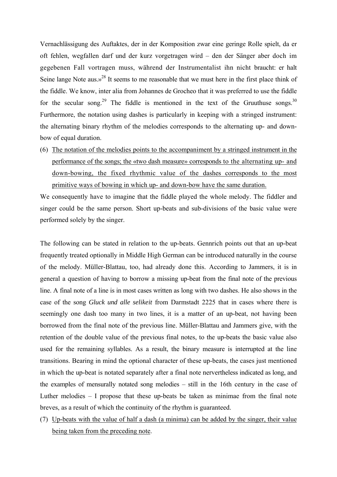Vernachlässigung des Auftaktes, der in der Komposition zwar eine geringe Rolle spielt, da er oft fehlen, wegfallen darf und der kurz vorgetragen wird – den der Sänger aber doch im gegebenen Fall vortragen muss, während der Instrumentalist ihn nicht braucht: er halt Seine lange Note aus. $v^{28}$  It seems to me reasonable that we must here in the first place think of the fiddle. We know, inter alia from Johannes de Grocheo that it was preferred to use the fiddle for the secular song.<sup>29</sup> The fiddle is mentioned in the text of the Gruuthuse songs.<sup>30</sup> Furthermore, the notation using dashes is particularly in keeping with a stringed instrument: the alternating binary rhythm of the melodies corresponds to the alternating up- and downbow of equal duration.

(6) The notation of the melodies points to the accompaniment by a stringed instrument in the performance of the songs; the «two dash measure» corresponds to the alternating up- and down-bowing, the fixed rhythmic value of the dashes corresponds to the most primitive ways of bowing in which up- and down-bow have the same duration.

We consequently have to imagine that the fiddle played the whole melody. The fiddler and singer could be the same person. Short up-beats and sub-divisions of the basic value were performed solely by the singer.

The following can be stated in relation to the up-beats. Gennrich points out that an up-beat frequently treated optionally in Middle High German can be introduced naturally in the course of the melody. Müller-Blattau, too, had already done this. According to Jammers, it is in general a question of having to borrow a missing up-beat from the final note of the previous line. A final note of a line is in most cases written as long with two dashes. He also shows in the case of the song *Gluck und alle selikeit* from Darmstadt 2225 that in cases where there is seemingly one dash too many in two lines, it is a matter of an up-beat, not having been borrowed from the final note of the previous line. Müller-Blattau and Jammers give, with the retention of the double value of the previous final notes, to the up-beats the basic value also used for the remaining syllables. As a result, the binary measure is interrupted at the line transitions. Bearing in mind the optional character of these up-beats, the cases just mentioned in which the up-beat is notated separately after a final note nervertheless indicated as long, and the examples of mensurally notated song melodies – still in the 16th century in the case of Luther melodies – I propose that these up-beats be taken as minimae from the final note breves, as a result of which the continuity of the rhythm is guaranteed.

(7) Up-beats with the value of half a dash (a minima) can be added by the singer, their value being taken from the preceding note.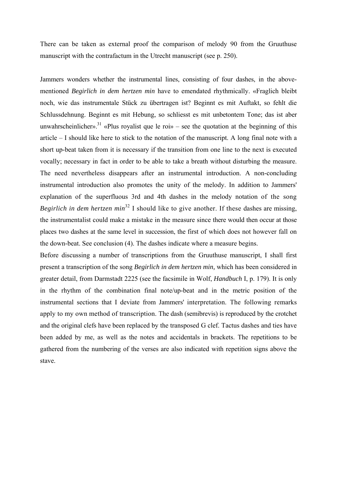There can be taken as external proof the comparison of melody 90 from the Gruuthuse manuscript with the contrafactum in the Utrecht manuscript (see p. 250).

Jammers wonders whether the instrumental lines, consisting of four dashes, in the abovementioned *Begirlich in dem hertzen min* have to emendated rhythmically. «Fraglich bleibt noch, wie das instrumentale Stück zu übertragen ist? Beginnt es mit Auftakt, so fehlt die Schlussdehnung. Beginnt es mit Hebung, so schliesst es mit unbetontem Tone; das ist aber unwahrscheinlicher».<sup>31</sup> «Plus royalist que le roi» – see the quotation at the beginning of this article – I should like here to stick to the notation of the manuscript. A long final note with a short up-beat taken from it is necessary if the transition from one line to the next is executed vocally; necessary in fact in order to be able to take a breath without disturbing the measure. The need nevertheless disappears after an instrumental introduction. A non-concluding instrumental introduction also promotes the unity of the melody. In addition to Jammers' explanation of the superfluous 3rd and 4th dashes in the melody notation of the song *Begirlich in dem hertzen min*<sup>32</sup> I should like to give another. If these dashes are missing, the instrumentalist could make a mistake in the measure since there would then occur at those places two dashes at the same level in succession, the first of which does not however fall on the down-beat. See conclusion (4). The dashes indicate where a measure begins.

Before discussing a number of transcriptions from the Gruuthuse manuscript, I shall first present a transcription of the song *Begirlich in dem hertzen min,* which has been considered in greater detail, from Darmstadt 2225 (see the facsimile in Wolf, *Handbuch* I, p. 179). It is only in the rhythm of the combination final note/up-beat and in the metric position of the instrumental sections that I deviate from Jammers' interpretation. The following remarks apply to my own method of transcription. The dash (semibrevis) is reproduced by the crotchet and the original clefs have been replaced by the transposed G clef. Tactus dashes and ties have been added by me, as well as the notes and accidentals in brackets. The repetitions to be gathered from the numbering of the verses are also indicated with repetition signs above the stave.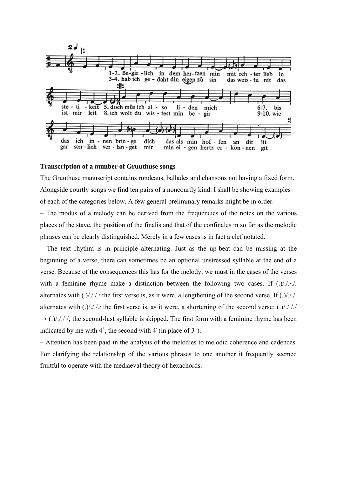

### **Transcription of a number of Gruuthuse songs**

The Gruuthuse manuscript contains rondeaus, ballades and chansons not having a fixed form. Alongside courtly songs we find ten pairs of a noncourtly kind. I shall be showing examples of each of the categories below. A few general preliminary remarks might be in order.

– The modus of a melody can be derived from the frequencies of the notes on the various places of the stave, the position of the finalis and that of the confinales in so far as the melodic phrases can be clearly distinguished. Merely in a few cases is in fact a clef notated.

– The text rhythm is in principle alternating. Just as the up-beat can be missing at the beginning of a verse, there can sometimes be an optional unstressed syllable at the end of a verse. Because of the consequences this has for the melody, we must in the cases of the verses with a feminine rhyme make a distinction between the following two cases. If (.)/./././. alternates with  $(.)/././.$  the first verse is, as it were, a lengthening of the second verse. If  $(.)/././.$ alternates with  $(.)/././/$  the first verse is, as it were, a shortening of the second verse:  $(.)/././/$  $\rightarrow$  (.)/././/, the second-last syllable is skipped. The first form with a feminine rhyme has been indicated by me with  $4^+$ , the second with  $4^{\circ}$  (in place of  $3^+$ ).

– Attention has been paid in the analysis of the melodies to melodic coherence and cadences. For clarifying the relationship of the various phrases to one another it frequently seemed fruitful to operate with the mediaeval theory of hexachords.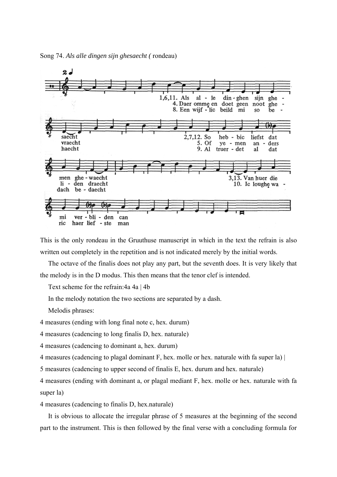



This is the only rondeau in the Gruuthuse manuscript in which in the text the refrain is also written out completely in the repetition and is not indicated merely by the initial words.

The octave of the finalis does not play any part, but the seventh does. It is very likely that the melody is in the D modus. This then means that the tenor clef is intended.

Text scheme for the refrain:4a 4a | 4b

In the melody notation the two sections are separated by a dash.

Melodis phrases:

4 measures (ending with long final note c, hex. durum)

4 measures (cadencing to long finalis D, hex. naturale)

4 measures (cadencing to dominant a, hex. durum)

4 measures (cadencing to plagal dominant F, hex. molle or hex. naturale with fa super la) |

5 measures (cadencing to upper second of finalis E, hex. durum and hex. naturale)

4 measures (ending with dominant a, or plagal mediant F, hex. molle or hex. naturale with fa super la)

4 measures (cadencing to finalis D, hex.naturale)

It is obvious to allocate the irregular phrase of 5 measures at the beginning of the second part to the instrument. This is then followed by the final verse with a concluding formula for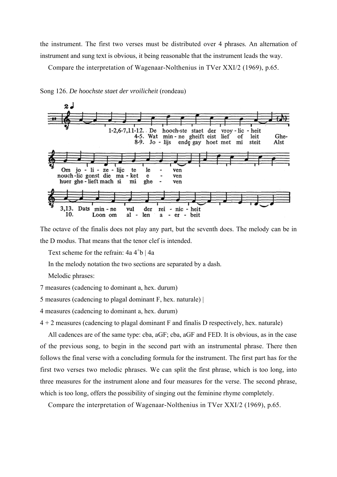the instrument. The first two verses must be distributed over 4 phrases. An alternation of instrument and sung text is obvious, it being reasonable that the instrument leads the way.

Ghe-

Alst

Compare the interpretation of Wagenaar-Nolthenius in TVer XXI/2 (1969), p.65.



ghe

der

len

#### Song 126. *De hoochste staet der vroilicheit* (rondeau)

The octave of the finalis does not play any part, but the seventh does. The melody can be in the D modus. That means that the tenor clef is intended.

 $\blacksquare$ 

 $\mathbf{a}$ 

ven

rei - nic - heit

er - beit

Text scheme for the refrain:  $4a 4^{\circ}b$  |  $4a$ 

min - ne

Loon om

huer ghe-lieft mach si

Dats

In the melody notation the two sections are separated by a dash.

mi

vul

 $al -$ 

Melodic phrases:

 $3.13.$ 

 $10.$ 

7 measures (cadencing to dominant a, hex. durum)

5 measures (cadencing to plagal dominant F, hex. naturale) |

4 measures (cadencing to dominant a, hex. durum)

 $4 + 2$  measures (cadencing to plagal dominant F and finalis D respectively, hex. naturale)

All cadences are of the same type: cba, aGF; cba, aGF and FED. It is obvious, as in the case of the previous song, to begin in the second part with an instrumental phrase. There then follows the final verse with a concluding formula for the instrument. The first part has for the first two verses two melodic phrases. We can split the first phrase, which is too long, into three measures for the instrument alone and four measures for the verse. The second phrase, which is too long, offers the possibility of singing out the feminine rhyme completely.

Compare the interpretation of Wagenaar-Nolthenius in TVer XXI/2 (1969), p.65.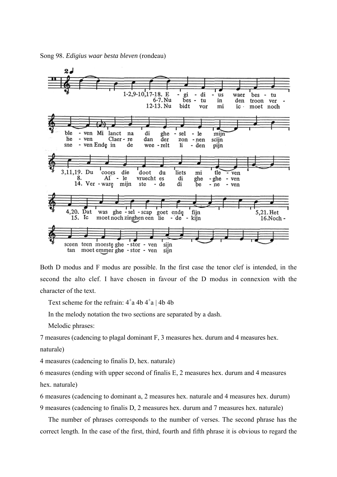

Both D modus and F modus are possible. In the first case the tenor clef is intended, in the second the alto clef. I have chosen in favour of the D modus in connexion with the character of the text.

Text scheme for the refrain:  $4^+a 4b 4^+a 14b 4b$ 

In the melody notation the two sections are separated by a dash.

Melodic phrases:

7 measures (cadencing to plagal dominant F, 3 measures hex. durum and 4 measures hex.

naturale)

4 measures (cadencing to finalis D, hex. naturale)

6 measures (ending with upper second of finalis E, 2 measures hex. durum and 4 measures hex. naturale)

6 measures (cadencing to dominant a, 2 measures hex. naturale and 4 measures hex. durum)

9 measures (cadencing to finalis D, 2 measures hex. durum and 7 measures hex. naturale)

The number of phrases corresponds to the number of verses. The second phrase has the correct length. In the case of the first, third, fourth and fifth phrase it is obvious to regard the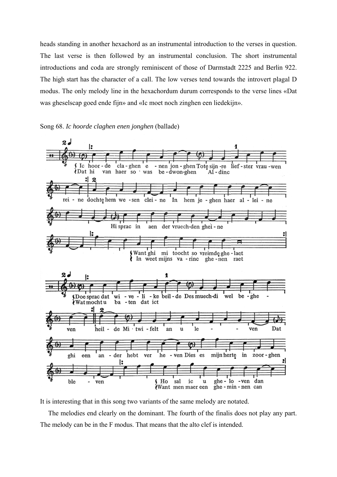heads standing in another hexachord as an instrumental introduction to the verses in question. The last verse is then followed by an instrumental conclusion. The short instrumental introductions and coda are strongly reminiscent of those of Darmstadt 2225 and Berlin 922. The high start has the character of a call. The low verses tend towards the introvert plagal D modus. The only melody line in the hexachordum durum corresponds to the verse lines «Dat was gheselscap goed ende fijn» and «Ic moet noch zinghen een liedekijn».





It is interesting that in this song two variants of the same melody are notated.

The melodies end clearly on the dominant. The fourth of the finalis does not play any part. The melody can be in the F modus. That means that the alto clef is intended.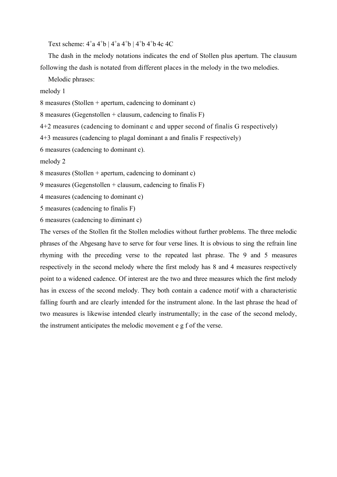Text scheme:  $4^{\circ}a 4^{\circ}b$  |  $4^{\circ}a 4^{\circ}b$  |  $4^{\circ}b 4^{\circ}b 4^{\circ}c 4^{\circ}c$ 

The dash in the melody notations indicates the end of Stollen plus apertum. The clausum following the dash is notated from different places in the melody in the two melodies.

Melodic phrases:

melody 1

8 measures (Stollen + apertum, cadencing to dominant c)

8 measures (Gegenstollen + clausum, cadencing to finalis F)

4+2 measures (cadencing to dominant c and upper second of finalis G respectively)

4+3 measures (cadencing to plagal dominant a and finalis F respectively)

6 measures (cadencing to dominant c).

melody 2

8 measures (Stollen + apertum, cadencing to dominant c)

9 measures (Gegenstollen + clausum, cadencing to finalis F)

4 measures (cadencing to dominant c)

5 measures (cadencing to finalis F)

6 measures (cadencing to diminant c)

The verses of the Stollen fit the Stollen melodies without further problems. The three melodic phrases of the Abgesang have to serve for four verse lines. It is obvious to sing the refrain line rhyming with the preceding verse to the repeated last phrase. The 9 and 5 measures respectively in the second melody where the first melody has 8 and 4 measures respectively point to a widened cadence. Of interest are the two and three measures which the first melody has in excess of the second melody. They both contain a cadence motif with a characteristic falling fourth and are clearly intended for the instrument alone. In the last phrase the head of two measures is likewise intended clearly instrumentally; in the case of the second melody, the instrument anticipates the melodic movement e g f of the verse.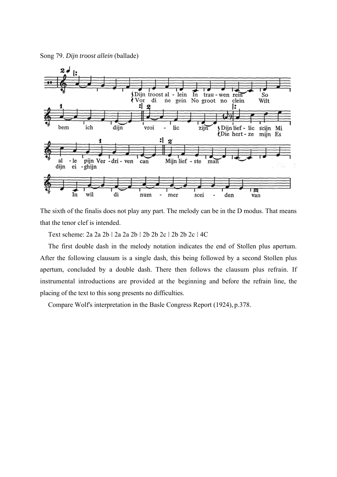Song 79. *Dijn troost allein* (ballade)



The sixth of the finalis does not play any part. The melody can be in the D modus. That means that the tenor clef is intended.

Text scheme: 2a 2a 2b  $\div$  2a 2a 2b  $\div$  2b 2b 2c  $\div$  2b 2c  $\div$  4C

The first double dash in the melody notation indicates the end of Stollen plus apertum. After the following clausum is a single dash, this being followed by a second Stollen plus apertum, concluded by a double dash. There then follows the clausum plus refrain. If instrumental introductions are provided at the beginning and before the refrain line, the placing of the text to this song presents no difficulties.

Compare Wolf's interpretation in the Basle Congress Report (1924), p.378.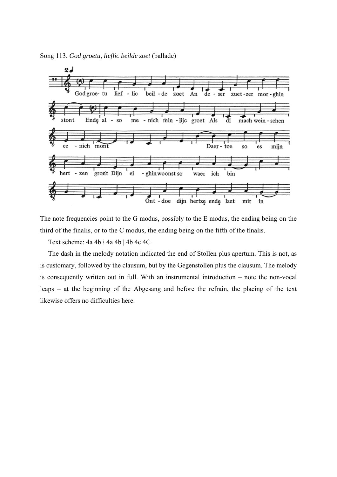

The note frequencies point to the G modus, possibly to the E modus, the ending being on the third of the finalis, or to the C modus, the ending being on the fifth of the finalis.

Text scheme: 4a 4b i 4a 4b | 4b 4c 4C

The dash in the melody notation indicated the end of Stollen plus apertum. This is not, as is customary, followed by the clausum, but by the Gegenstollen plus the clausum. The melody is consequently written out in full. With an instrumental introduction – note the non-vocal leaps – at the beginning of the Abgesang and before the refrain, the placing of the text likewise offers no difficulties here.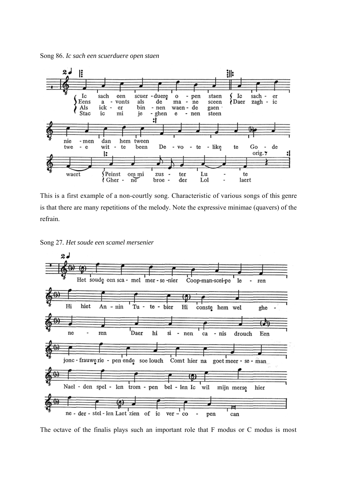Song 86. *Ic sach een scuerduere open staen* 



This is a first example of a non-courtly song. Characteristic of various songs of this genre is that there are many repetitions of the melody. Note the expressive minimae (quavers) of the refrain.





The octave of the finalis plays such an important role that F modus or C modus is most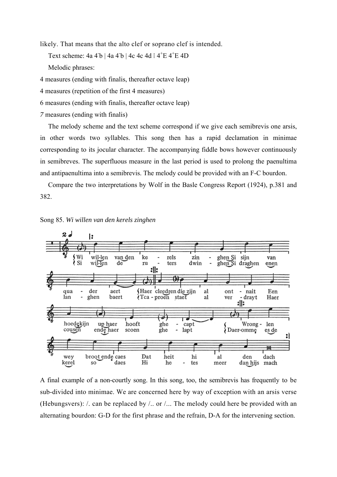likely. That means that the alto clef or soprano clef is intended.

Text scheme:  $4a 4b | 4a 4b | 4c 4c 4d | 4^+E 4^+E 4D$ 

Melodic phrases:

4 measures (ending with finalis, thereafter octave leap)

4 measures (repetition of the first 4 measures)

6 measures (ending with finalis, thereafter octave leap)

*7* measures (ending with finalis)

The melody scheme and the text scheme correspond if we give each semibrevis one arsis, in other words two syllables. This song then has a rapid declamation in minimae corresponding to its jocular character. The accompanying fiddle bows however continuously in semibreves. The superfluous measure in the last period is used to prolong the paenultima and antipaenultima into a semibrevis. The melody could be provided with an F-C bourdon.

Compare the two interpretations by Wolf in the Basle Congress Report (1924), p.381 and 382.



Song 85. *Wi willen van den kerels zinghen* 

A final example of a non-courtly song. In this song, too, the semibrevis has frequently to be sub-divided into minimae. We are concerned here by way of exception with an arsis verse (Hebungsvers): /. can be replaced by /.. or /... The melody could here be provided with an alternating bourdon: G-D for the first phrase and the refrain, D-A for the intervening section.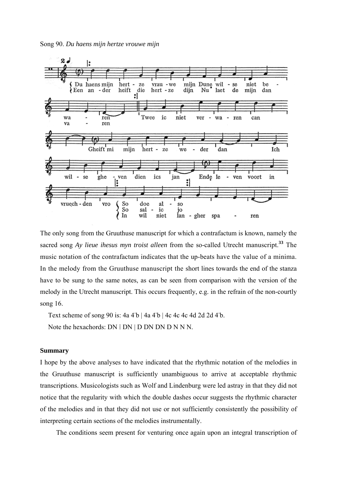

The only song from the Gruuthuse manuscript for which a contrafactum is known, namely the sacred song *Ay lieue ihesus myn troist alleen* from the so-called Utrecht manuscript.**<sup>33</sup>** The music notation of the contrafactum indicates that the up-beats have the value of a minima. In the melody from the Gruuthuse manuscript the short lines towards the end of the stanza have to be sung to the same notes, as can be seen from comparison with the version of the melody in the Utrecht manuscript. This occurs frequently, e.g. in the refrain of the non-courtly song 16.

Text scheme of song 90 is: 4a 4 b | 4a 4 b | 4c 4c 4c 4d 2d 2d 4 b.

Note the hexachords:  $DN : DN | D DN DN D NN N$ .

## **Summary**

I hope by the above analyses to have indicated that the rhythmic notation of the melodies in the Gruuthuse manuscript is sufficiently unambiguous to arrive at acceptable rhythmic transcriptions. Musicologists such as Wolf and Lindenburg were led astray in that they did not notice that the regularity with which the double dashes occur suggests the rhythmic character of the melodies and in that they did not use or not sufficiently consistently the possibility of interpreting certain sections of the melodies instrumentally.

The conditions seem present for venturing once again upon an integral transcription of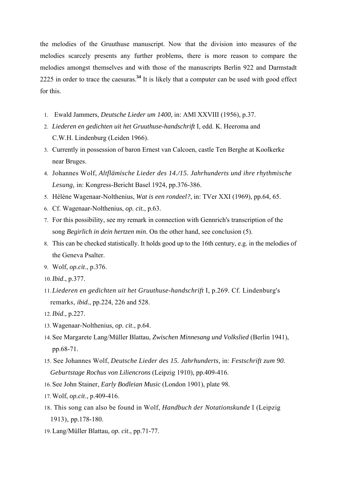the melodies of the Gruuthuse manuscript. Now that the division into measures of the melodies scarcely presents any further problems, there is more reason to compare the melodies amongst themselves and with those of the manuscripts Berlin 922 and Darmstadt 2225 in order to trace the caesuras.**<sup>34</sup>** It is likely that a computer can be used with good effect for this.

- 1. Ewald Jammers, *Deutsche Lieder um 1400,* in: AMl XXVIII (1956), p.37.
- 2. *Liederen en gedichten uit het Gruuthuse-handschrift* I, edd. K. Heeroma and C.W.H. Lindenburg (Leiden 1966).
- 3. Currently in possession of baron Ernest van Calcoen, castle Ten Berghe at Koolkerke near Bruges.
- 4. Johannes Wolf, *Altflämische Lieder des 14./15. Jahrhunderts und ihre rhythmische Lesung,* in: Kongress-Bericht Basel 1924, pp.376-386.
- 5. Hélène Wagenaar-Nolthenius, *Wat is een rondeel?*, in: TVer XXI (1969), pp.64, 65.
- 6. Cf. Wagenaar-Nolthenius, *op. cit.*, p.63.
- 7. For this possibility, see my remark in connection with Gennrich's transcription of the song *Begirlich in dein hertzen min*. On the other hand, see conclusion (5).
- 8. This can be checked statistically. It holds good up to the 16th century, e.g. in the melodies of the Geneva Psalter.
- 9. Wolf, *op.cit*., p.376.
- 10.*Ibid*., p.377.
- 11.*Liederen en gedichten uit het Gruuthuse-handschrift* I, p.269. Cf. Lindenburg's remarks, *ibid.*, pp.224, 226 and 528.
- 12.*Ibid*., p.227.
- 13. Wagenaar-Nolthenius, *op. cit*., p.64.
- 14. See Margarete Lang/Müller Blattau, *Zwischen Minnesang und Volkslied* (Berlin 1941), pp.68-71.
- 15. See Johannes Wolf, *Deutsche Lieder des 15. Jahrhunderts,* in: *Festschrift zum 90. Geburtstage Rochus von Liliencrons* (Leipzig 1910), pp.409-416.
- 16. See John Stainer, *Early Bodleian Music* (London 1901), plate 98.
- 17. Wolf, *op.cit*., p.409-416.
- 18. This song can also be found in Wolf, *Handbuch der Notationskunde* I (Leipzig 1913), pp.178-180.
- 19. Lang/Müller Blattau, *op. cit*., pp.71-77.